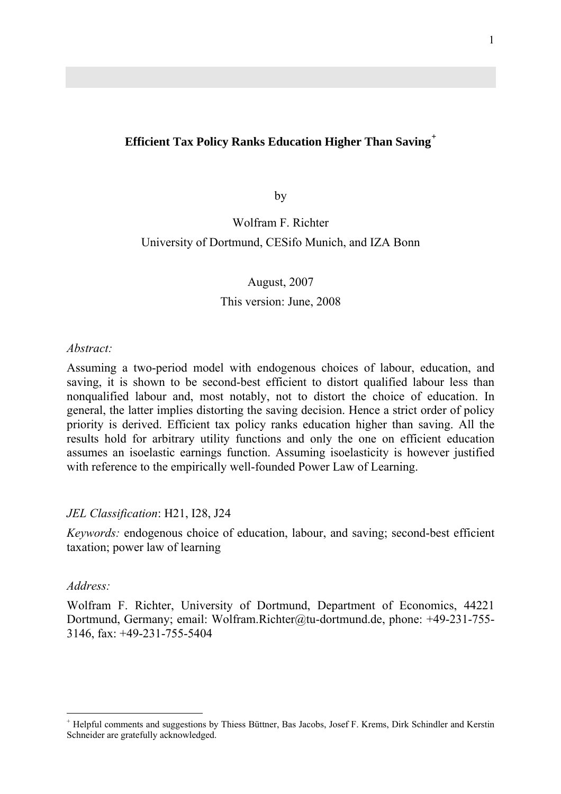## **Efficient Tax Policy Ranks Education Higher Than Saving[+](#page-0-0)**

by

# Wolfram F. Richter University of Dortmund, CESifo Munich, and IZA Bonn

## August, 2007 This version: June, 2008

#### *Abstract:*

Assuming a two-period model with endogenous choices of labour, education, and saving, it is shown to be second-best efficient to distort qualified labour less than nonqualified labour and, most notably, not to distort the choice of education. In general, the latter implies distorting the saving decision. Hence a strict order of policy priority is derived. Efficient tax policy ranks education higher than saving. All the results hold for arbitrary utility functions and only the one on efficient education assumes an isoelastic earnings function. Assuming isoelasticity is however justified with reference to the empirically well-founded Power Law of Learning.

## *JEL Classification*: H21, I28, J24

*Keywords:* endogenous choice of education, labour, and saving; second-best efficient taxation; power law of learning

## *Address:*

1

Wolfram F. Richter, University of Dortmund, Department of Economics, 44221 Dortmund, Germany; email: Wolfram.Richter@tu-dortmund.de, phone: +49-231-755- 3146, fax: +49-231-755-5404

<span id="page-0-0"></span><sup>+</sup> Helpful comments and suggestions by Thiess Büttner, Bas Jacobs, Josef F. Krems, Dirk Schindler and Kerstin Schneider are gratefully acknowledged.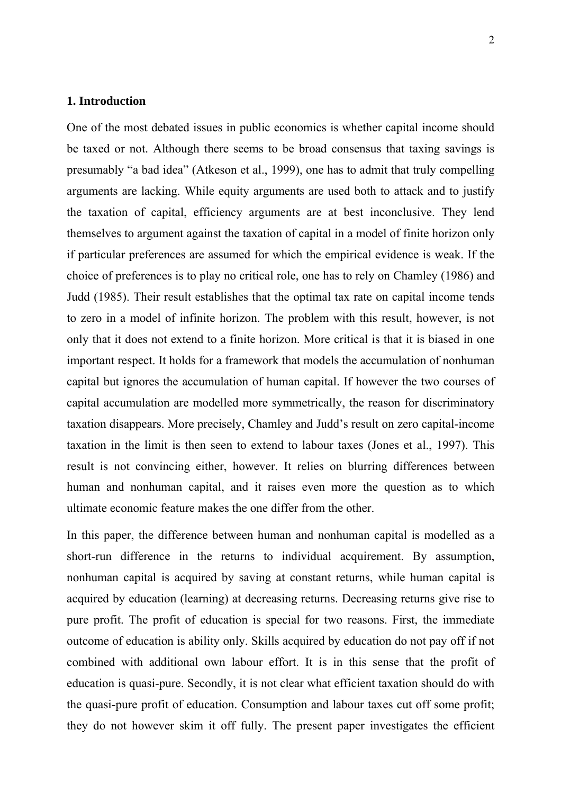### **1. Introduction**

One of the most debated issues in public economics is whether capital income should be taxed or not. Although there seems to be broad consensus that taxing savings is presumably "a bad idea" (Atkeson et al., 1999), one has to admit that truly compelling arguments are lacking. While equity arguments are used both to attack and to justify the taxation of capital, efficiency arguments are at best inconclusive. They lend themselves to argument against the taxation of capital in a model of finite horizon only if particular preferences are assumed for which the empirical evidence is weak. If the choice of preferences is to play no critical role, one has to rely on Chamley (1986) and Judd (1985). Their result establishes that the optimal tax rate on capital income tends to zero in a model of infinite horizon. The problem with this result, however, is not only that it does not extend to a finite horizon. More critical is that it is biased in one important respect. It holds for a framework that models the accumulation of nonhuman capital but ignores the accumulation of human capital. If however the two courses of capital accumulation are modelled more symmetrically, the reason for discriminatory taxation disappears. More precisely, Chamley and Judd's result on zero capital-income taxation in the limit is then seen to extend to labour taxes (Jones et al., 1997). This result is not convincing either, however. It relies on blurring differences between human and nonhuman capital, and it raises even more the question as to which ultimate economic feature makes the one differ from the other.

In this paper, the difference between human and nonhuman capital is modelled as a short-run difference in the returns to individual acquirement. By assumption, nonhuman capital is acquired by saving at constant returns, while human capital is acquired by education (learning) at decreasing returns. Decreasing returns give rise to pure profit. The profit of education is special for two reasons. First, the immediate outcome of education is ability only. Skills acquired by education do not pay off if not combined with additional own labour effort. It is in this sense that the profit of education is quasi-pure. Secondly, it is not clear what efficient taxation should do with the quasi-pure profit of education. Consumption and labour taxes cut off some profit; they do not however skim it off fully. The present paper investigates the efficient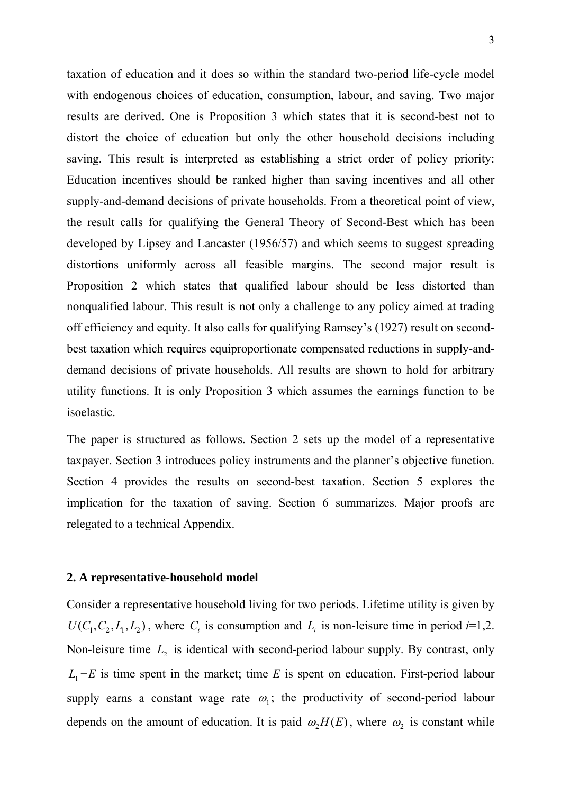taxation of education and it does so within the standard two-period life-cycle model with endogenous choices of education, consumption, labour, and saving. Two major results are derived. One is Proposition 3 which states that it is second-best not to distort the choice of education but only the other household decisions including saving. This result is interpreted as establishing a strict order of policy priority: Education incentives should be ranked higher than saving incentives and all other supply-and-demand decisions of private households. From a theoretical point of view, the result calls for qualifying the General Theory of Second-Best which has been developed by Lipsey and Lancaster (1956/57) and which seems to suggest spreading distortions uniformly across all feasible margins. The second major result is Proposition 2 which states that qualified labour should be less distorted than nonqualified labour. This result is not only a challenge to any policy aimed at trading off efficiency and equity. It also calls for qualifying Ramsey's (1927) result on secondbest taxation which requires equiproportionate compensated reductions in supply-anddemand decisions of private households. All results are shown to hold for arbitrary utility functions. It is only Proposition 3 which assumes the earnings function to be isoelastic.

The paper is structured as follows. Section 2 sets up the model of a representative taxpayer. Section 3 introduces policy instruments and the planner's objective function. Section 4 provides the results on second-best taxation. Section 5 explores the implication for the taxation of saving. Section 6 summarizes. Major proofs are relegated to a technical Appendix.

### **2. A representative-household model**

Consider a representative household living for two periods. Lifetime utility is given by  $U(C_1, C_2, L_1, L_2)$ , where  $C_i$  is consumption and  $L_i$  is non-leisure time in period  $i=1,2$ . Non-leisure time  $L<sub>2</sub>$  is identical with second-period labour supply. By contrast, only  $L_1 - E$  is time spent in the market; time *E* is spent on education. First-period labour supply earns a constant wage rate  $\omega_1$ ; the productivity of second-period labour depends on the amount of education. It is paid  $\omega_2 H(E)$ , where  $\omega_2$  is constant while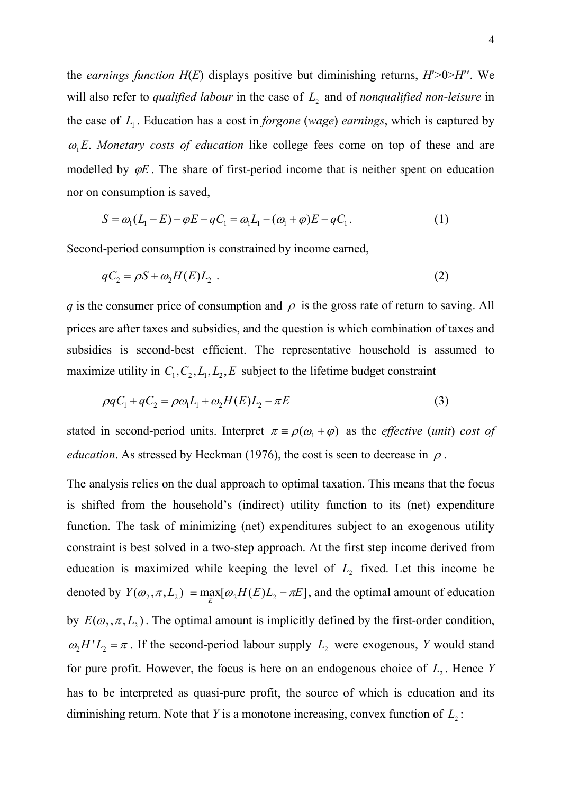the *earnings function H*(*E*) displays positive but diminishing returns, *H*′>0>*H*′′. We will also refer to *qualified labour* in the case of  $L<sub>2</sub>$  and of *nonqualified non-leisure* in the case of  $L_1$ . Education has a cost in *forgone* (*wage*) *earnings*, which is captured by  $\omega_1 E$ . *Monetary costs of education* like college fees come on top of these and are modelled by  $\varphi E$ . The share of first-period income that is neither spent on education nor on consumption is saved,

$$
S = \omega_1 (L_1 - E) - \varphi E - qC_1 = \omega_1 L_1 - (\omega_1 + \varphi) E - qC_1.
$$
 (1)

Second-period consumption is constrained by income earned,

$$
qC_2 = \rho S + \omega_2 H(E)L_2 \tag{2}
$$

*q* is the consumer price of consumption and  $\rho$  is the gross rate of return to saving. All prices are after taxes and subsidies, and the question is which combination of taxes and subsidies is second-best efficient. The representative household is assumed to maximize utility in  $C_1, C_2, L_1, L_2, E$  subject to the lifetime budget constraint

$$
\rho q C_1 + q C_2 = \rho \omega_1 L_1 + \omega_2 H(E) L_2 - \pi E \tag{3}
$$

stated in second-period units. Interpret  $\pi = \rho(\omega_1 + \varphi)$  as the *effective (unit)* cost of *education*. As stressed by Heckman (1976), the cost is seen to decrease in  $\rho$ .

The analysis relies on the dual approach to optimal taxation. This means that the focus is shifted from the household's (indirect) utility function to its (net) expenditure function. The task of minimizing (net) expenditures subject to an exogenous utility constraint is best solved in a two-step approach. At the first step income derived from education is maximized while keeping the level of  $L<sub>2</sub>$  fixed. Let this income be denoted by  $Y(\omega_2, \pi, L_2) \equiv \max_{E} [\omega_2 H(E) L_2 - \pi E]$ , and the optimal amount of education by  $E(\omega_2, \pi, L_2)$ . The optimal amount is implicitly defined by the first-order condition,  $\omega_2 H' L_2 = \pi$ . If the second-period labour supply  $L_2$  were exogenous, *Y* would stand for pure profit. However, the focus is here on an endogenous choice of  $L_2$ . Hence *Y* has to be interpreted as quasi-pure profit, the source of which is education and its diminishing return. Note that *Y* is a monotone increasing, convex function of  $L_2$ :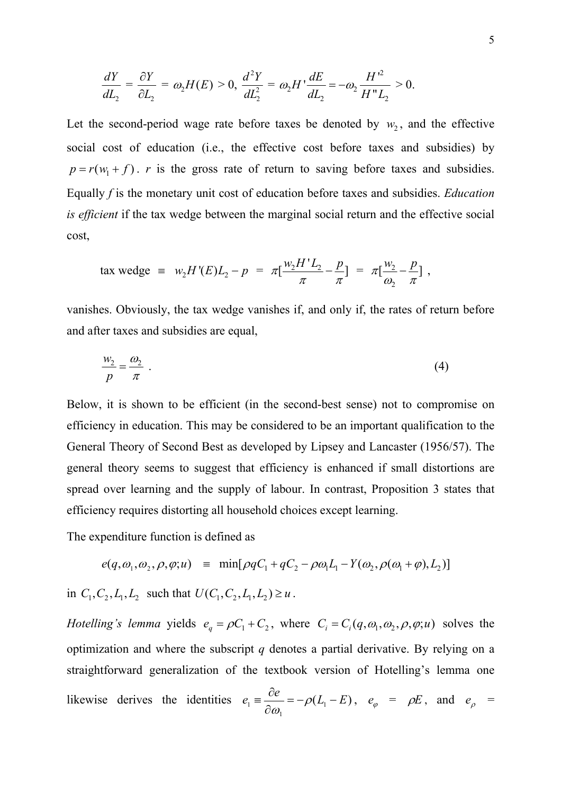$$
\frac{dY}{dL_2} = \frac{\partial Y}{\partial L_2} = \omega_2 H(E) > 0, \quad \frac{d^2Y}{dL_2^2} = \omega_2 H' \frac{dE}{dL_2} = -\omega_2 \frac{H'^2}{H''L_2} > 0.
$$

Let the second-period wage rate before taxes be denoted by  $w_2$ , and the effective social cost of education (i.e., the effective cost before taxes and subsidies) by  $p = r(w_1 + f)$ . *r* is the gross rate of return to saving before taxes and subsidies. Equally *f* is the monetary unit cost of education before taxes and subsidies. *Education is efficient* if the tax wedge between the marginal social return and the effective social cost,

$$
\text{tax wedge} \equiv w_2 H'(E) L_2 - p = \pi \left[ \frac{w_2 H' L_2}{\pi} - \frac{p}{\pi} \right] = \pi \left[ \frac{w_2}{\omega_2} - \frac{p}{\pi} \right],
$$

vanishes. Obviously, the tax wedge vanishes if, and only if, the rates of return before and after taxes and subsidies are equal,

$$
\frac{w_2}{p} = \frac{\omega_2}{\pi} \tag{4}
$$

Below, it is shown to be efficient (in the second-best sense) not to compromise on efficiency in education. This may be considered to be an important qualification to the General Theory of Second Best as developed by Lipsey and Lancaster (1956/57). The general theory seems to suggest that efficiency is enhanced if small distortions are spread over learning and the supply of labour. In contrast, Proposition 3 states that efficiency requires distorting all household choices except learning.

The expenditure function is defined as

$$
e(q, \omega_1, \omega_2, \rho, \varphi; u) = \min[\rho q C_1 + q C_2 - \rho \omega_1 L_1 - Y(\omega_2, \rho(\omega_1 + \varphi), L_2)]
$$

in  $C_1, C_2, L_1, L_2$  such that  $U(C_1, C_2, L_1, L_2) \ge u$ .

*Hotelling's lemma* yields  $e_q = \rho C_1 + C_2$ , where  $C_i = C_i(q, \omega_1, \omega_2, \rho, \varphi; u)$  solves the optimization and where the subscript *q* denotes a partial derivative. By relying on a straightforward generalization of the textbook version of Hotelling's lemma one likewise derives the identities  $e_1 = \frac{\partial e}{\partial x_1} = -\rho(L_1 - E)$ 1 *e*  $e_1 \equiv \frac{\partial c}{\partial \omega_1} = =\frac{\partial e}{\partial \omega} = -\rho (L_1 - E)$ ,  $e_{\varphi} = \rho E$ , and  $e_{\rho} =$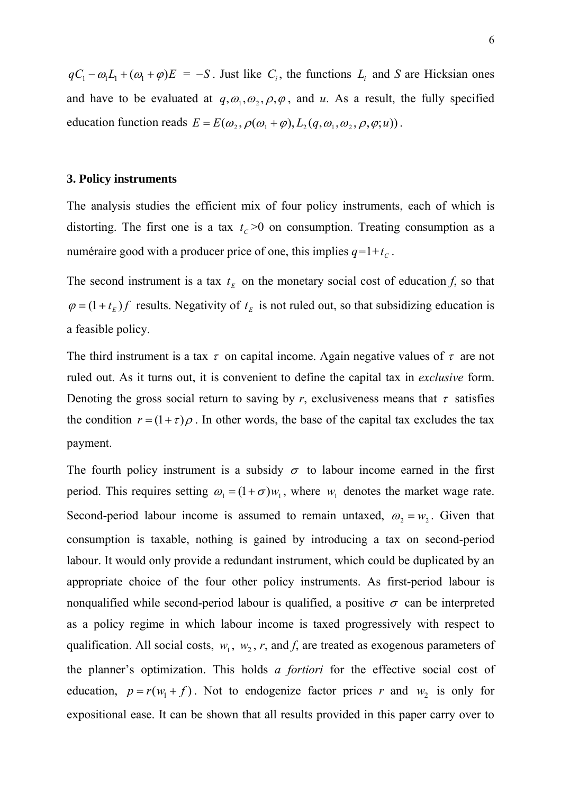$qC_1 - \omega_1 L_1 + (\omega_1 + \varphi)E = -S$ . Just like  $C_i$ , the functions  $L_i$  and *S* are Hicksian ones and have to be evaluated at  $q, \omega_1, \omega_2, \rho, \varphi$ , and *u*. As a result, the fully specified education function reads  $E = E(\omega_2, \rho(\omega_1 + \varphi), L_2(q, \omega_1, \omega_2, \rho, \varphi; u))$ .

#### **3. Policy instruments**

The analysis studies the efficient mix of four policy instruments, each of which is distorting. The first one is a tax  $t_c$  > 0 on consumption. Treating consumption as a numéraire good with a producer price of one, this implies  $q=1+t_c$ .

The second instrument is a tax  $t_E$  on the monetary social cost of education *f*, so that  $\varphi = (1 + t_{E}) f$  results. Negativity of  $t_{E}$  is not ruled out, so that subsidizing education is a feasible policy.

The third instrument is a tax  $\tau$  on capital income. Again negative values of  $\tau$  are not ruled out. As it turns out, it is convenient to define the capital tax in *exclusive* form. Denoting the gross social return to saving by *r*, exclusiveness means that  $\tau$  satisfies the condition  $r = (1 + \tau)\rho$ . In other words, the base of the capital tax excludes the tax payment.

The fourth policy instrument is a subsidy  $\sigma$  to labour income earned in the first period. This requires setting  $\omega_1 = (1 + \sigma)w_1$ , where  $w_1$  denotes the market wage rate. Second-period labour income is assumed to remain untaxed,  $\omega_2 = w_2$ . Given that consumption is taxable, nothing is gained by introducing a tax on second-period labour. It would only provide a redundant instrument, which could be duplicated by an appropriate choice of the four other policy instruments. As first-period labour is nonqualified while second-period labour is qualified, a positive  $\sigma$  can be interpreted as a policy regime in which labour income is taxed progressively with respect to qualification. All social costs,  $w_1$ ,  $w_2$ ,  $r$ , and  $f$ , are treated as exogenous parameters of the planner's optimization. This holds *a fortiori* for the effective social cost of education,  $p = r(w_1 + f)$ . Not to endogenize factor prices *r* and  $w_2$  is only for expositional ease. It can be shown that all results provided in this paper carry over to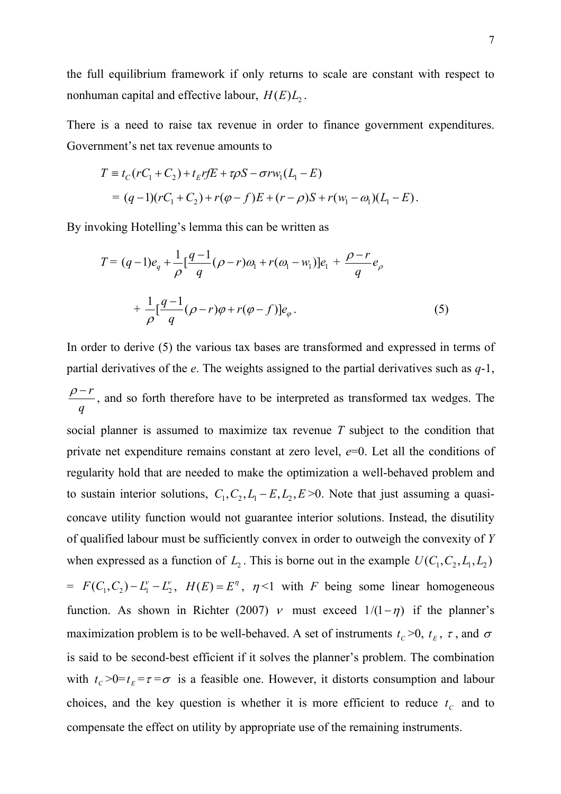the full equilibrium framework if only returns to scale are constant with respect to nonhuman capital and effective labour,  $H(E)L<sub>2</sub>$ .

There is a need to raise tax revenue in order to finance government expenditures. Government's net tax revenue amounts to

$$
T \equiv t_C (rC_1 + C_2) + t_E r fE + \tau \rho S - \sigma r w_1 (L_1 - E)
$$
  
=  $(q-1)(rC_1 + C_2) + r(\varphi - f)E + (r - \rho)S + r(w_1 - \varphi)(L_1 - E).$ 

By invoking Hotelling's lemma this can be written as

$$
T = (q-1)e_q + \frac{1}{\rho} \left[ \frac{q-1}{q} (\rho - r)\omega_1 + r(\omega_1 - w_1) \right] e_1 + \frac{\rho - r}{q} e_\rho
$$
  
+ 
$$
\frac{1}{\rho} \left[ \frac{q-1}{q} (\rho - r)\varphi + r(\varphi - f) \right] e_\varphi.
$$
 (5)

In order to derive (5) the various tax bases are transformed and expressed in terms of partial derivatives of the *e*. The weights assigned to the partial derivatives such as *q*-1, *r q*  $\rho-r$ , and so forth therefore have to be interpreted as transformed tax wedges. The social planner is assumed to maximize tax revenue *T* subject to the condition that private net expenditure remains constant at zero level, *e*=0. Let all the conditions of regularity hold that are needed to make the optimization a well-behaved problem and to sustain interior solutions,  $C_1, C_2, L_1 - E, L_2, E \ge 0$ . Note that just assuming a quasiwhen expressed as a function of  $L_2$ . This is borne out in the example  $U(C_1, C_2, L_1, L_2)$ concave utility function would not guarantee interior solutions. Instead, the disutility of qualified labour must be sufficiently convex in order to outweigh the convexity of *Y*  $= F(C_1, C_2) - L_1^{\nu} - L_2^{\nu}$ ,  $H(E) = E^{\eta}$ ,  $\eta$ <1 with *F* being some linear homogeneous function. As shown in Richter (2007)  $\nu$  must exceed  $1/(1 - \eta)$  if the planner's maximization problem is to be well-behaved. A set of instruments  $t_c$  >0,  $t<sub>E</sub>$ ,  $\tau$ , and  $\sigma$ is said to be second-best efficient if it solves the planner's problem. The combination with  $t_c > 0=t_E = \tau = \sigma$  is a feasible one. However, it distorts consumption and labour choices, and the key question is whether it is more efficient to reduce  $t_c$  and to compensate the effect on utility by appropriate use of the remaining instruments.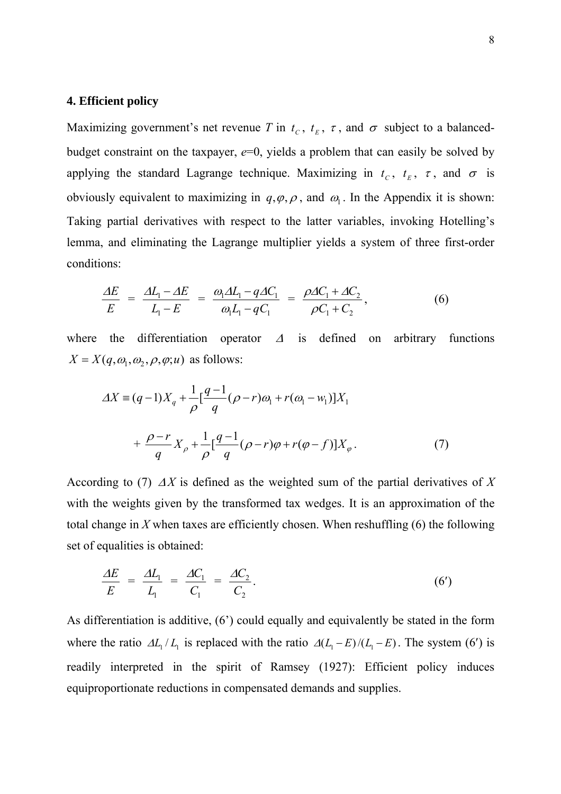### **4. Efficient policy**

Maximizing government's net revenue *T* in  $t_c$ ,  $t<sub>E</sub>$ ,  $\tau$ , and  $\sigma$  subject to a balancedbudget constraint on the taxpayer,  $e=0$ , yields a problem that can easily be solved by applying the standard Lagrange technique. Maximizing in  $t_c$ ,  $t<sub>E</sub>$ ,  $\tau$ , and  $\sigma$  is obviously equivalent to maximizing in  $q, \varphi, \rho$ , and  $\omega_1$ . In the Appendix it is shown: Taking partial derivatives with respect to the latter variables, invoking Hotelling's lemma, and eliminating the Lagrange multiplier yields a system of three first-order conditions:

$$
\frac{\Delta E}{E} = \frac{\Delta L_1 - \Delta E}{L_1 - E} = \frac{\omega_1 \Delta L_1 - q \Delta C_1}{\omega_1 L_1 - q C_1} = \frac{\rho \Delta C_1 + \Delta C_2}{\rho C_1 + C_2},
$$
\n(6)

where the differentiation operator  $\Delta$  is defined on arbitrary functions  $X = X(q, \omega_1, \omega_2, \rho, \varphi; u)$  as follows:

$$
\Delta X \equiv (q-1)X_q + \frac{1}{\rho} \left[ \frac{q-1}{q} (\rho - r)\omega_1 + r(\omega_1 - w_1) \right] X_1 + \frac{\rho - r}{q} X_\rho + \frac{1}{\rho} \left[ \frac{q-1}{q} (\rho - r)\varphi + r(\varphi - f) \right] X_\varphi.
$$
 (7)

According to (7)  $\Delta X$  is defined as the weighted sum of the partial derivatives of X with the weights given by the transformed tax wedges. It is an approximation of the total change in *X* when taxes are efficiently chosen. When reshuffling (6) the following set of equalities is obtained:

$$
\frac{\Delta E}{E} = \frac{\Delta L_1}{L_1} = \frac{\Delta C_1}{C_1} = \frac{\Delta C_2}{C_2}.
$$
\n(6')

As differentiation is additive, (6') could equally and equivalently be stated in the form where the ratio  $\Delta L_1 / L_1$  is replaced with the ratio  $\Delta (L_1 - E) / (L_1 - E)$ . The system (6<sup>'</sup>) is readily interpreted in the spirit of Ramsey (1927): Efficient policy induces equiproportionate reductions in compensated demands and supplies.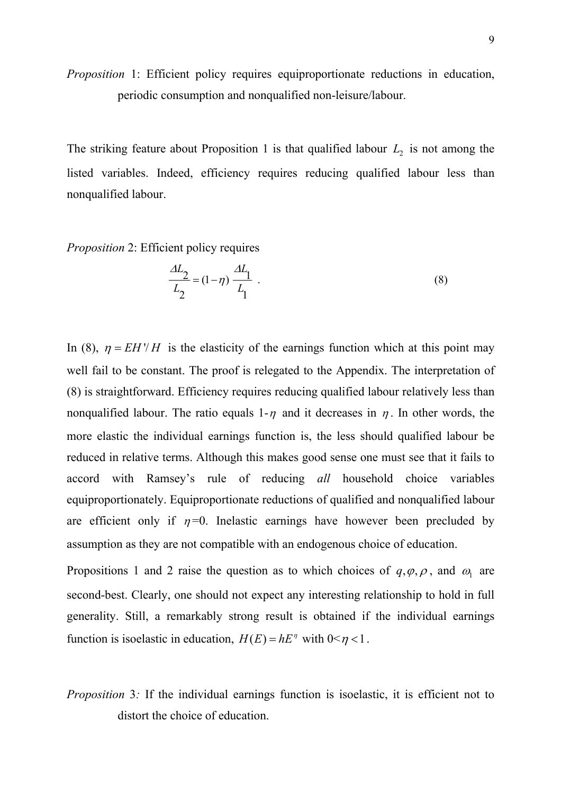*Proposition* 1: Efficient policy requires equiproportionate reductions in education, periodic consumption and nonqualified non-leisure/labour.

The striking feature about Proposition 1 is that qualified labour  $L_2$  is not among the listed variables. Indeed, efficiency requires reducing qualified labour less than nonqualified labour.

*Proposition* 2: Efficient policy requires

$$
\frac{\Delta L_2}{L_2} = (1 - \eta) \frac{\Delta L_1}{L_1} \tag{8}
$$

In (8),  $\eta = EH'/H$  is the elasticity of the earnings function which at this point may well fail to be constant. The proof is relegated to the Appendix. The interpretation of (8) is straightforward. Efficiency requires reducing qualified labour relatively less than nonqualified labour. The ratio equals 1- $\eta$  and it decreases in  $\eta$ . In other words, the more elastic the individual earnings function is, the less should qualified labour be reduced in relative terms. Although this makes good sense one must see that it fails to accord with Ramsey's rule of reducing *all* household choice variables equiproportionately. Equiproportionate reductions of qualified and nonqualified labour are efficient only if  $\eta = 0$ . Inelastic earnings have however been precluded by assumption as they are not compatible with an endogenous choice of education.

Propositions 1 and 2 raise the question as to which choices of  $q, \varphi, \rho$ , and  $\omega_1$  are second-best. Clearly, one should not expect any interesting relationship to hold in full generality. Still, a remarkably strong result is obtained if the individual earnings function is isoelastic in education,  $H(E) = hE^{\eta}$  with  $0 \le \eta < 1$ .

*Proposition* 3*:* If the individual earnings function is isoelastic, it is efficient not to distort the choice of education.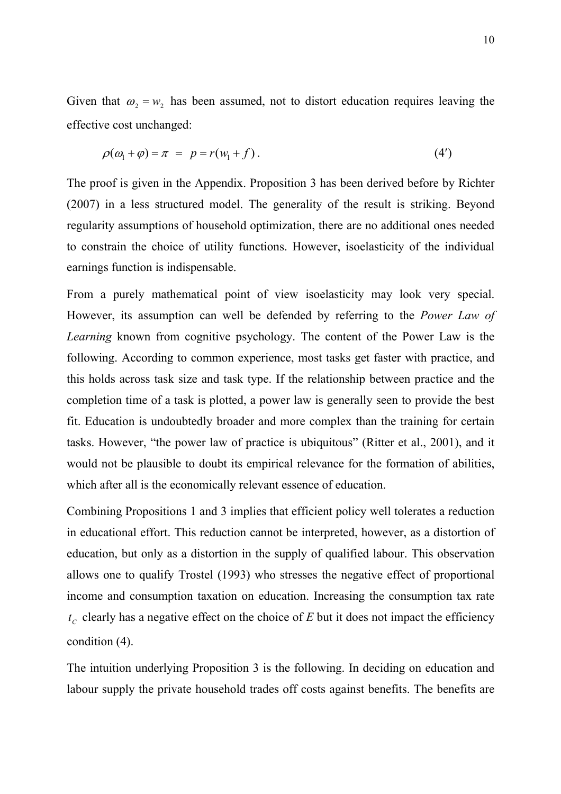Given that  $\omega_2 = w_2$  has been assumed, not to distort education requires leaving the effective cost unchanged:

$$
\rho(\omega_1 + \varphi) = \pi = p = r(\omega_1 + f).
$$
 (4')

The proof is given in the Appendix. Proposition 3 has been derived before by Richter (2007) in a less structured model. The generality of the result is striking. Beyond regularity assumptions of household optimization, there are no additional ones needed to constrain the choice of utility functions. However, isoelasticity of the individual earnings function is indispensable.

From a purely mathematical point of view isoelasticity may look very special. However, its assumption can well be defended by referring to the *Power Law of Learning* known from cognitive psychology. The content of the Power Law is the following. According to common experience, most tasks get faster with practice, and this holds across task size and task type. If the relationship between practice and the completion time of a task is plotted, a power law is generally seen to provide the best fit. Education is undoubtedly broader and more complex than the training for certain tasks. However, "the power law of practice is ubiquitous" (Ritter et al., 2001), and it would not be plausible to doubt its empirical relevance for the formation of abilities, which after all is the economically relevant essence of education.

Combining Propositions 1 and 3 implies that efficient policy well tolerates a reduction in educational effort. This reduction cannot be interpreted, however, as a distortion of education, but only as a distortion in the supply of qualified labour. This observation allows one to qualify Trostel (1993) who stresses the negative effect of proportional income and consumption taxation on education. Increasing the consumption tax rate  $t_c$  clearly has a negative effect on the choice of  $E$  but it does not impact the efficiency condition (4).

The intuition underlying Proposition 3 is the following. In deciding on education and labour supply the private household trades off costs against benefits. The benefits are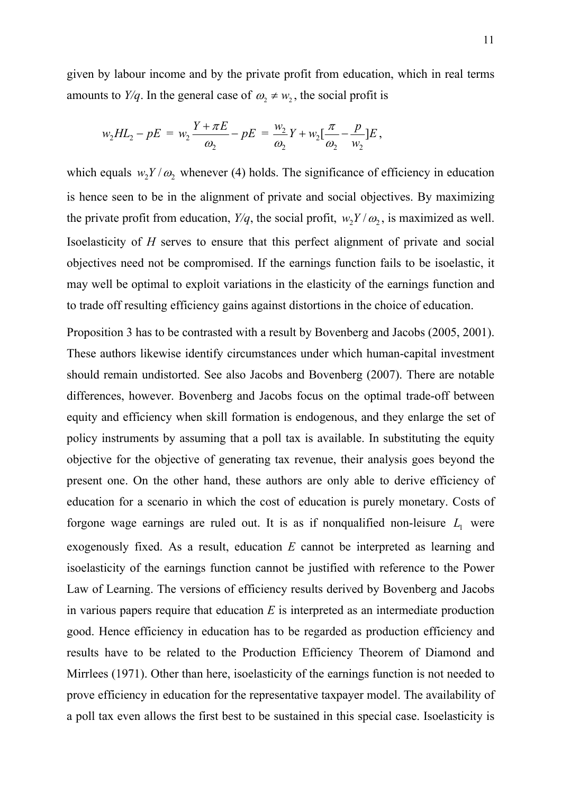given by labour income and by the private profit from education, which in real terms amounts to *Y/q*. In the general case of  $\omega_2 \neq w_2$ , the social profit is

$$
w_2 H L_2 - pE = w_2 \frac{Y + \pi E}{\omega_2} - pE = \frac{w_2}{\omega_2} Y + w_2 \left[ \frac{\pi}{\omega_2} - \frac{p}{w_2} \right] E,
$$

which equals  $w_2 Y / \omega_2$  whenever (4) holds. The significance of efficiency in education is hence seen to be in the alignment of private and social objectives. By maximizing the private profit from education,  $Y/q$ , the social profit,  $w_2 Y / \omega_2$ , is maximized as well. Isoelasticity of *H* serves to ensure that this perfect alignment of private and social objectives need not be compromised. If the earnings function fails to be isoelastic, it may well be optimal to exploit variations in the elasticity of the earnings function and to trade off resulting efficiency gains against distortions in the choice of education.

Proposition 3 has to be contrasted with a result by Bovenberg and Jacobs (2005, 2001). These authors likewise identify circumstances under which human-capital investment should remain undistorted. See also Jacobs and Bovenberg (2007). There are notable differences, however. Bovenberg and Jacobs focus on the optimal trade-off between equity and efficiency when skill formation is endogenous, and they enlarge the set of policy instruments by assuming that a poll tax is available. In substituting the equity objective for the objective of generating tax revenue, their analysis goes beyond the present one. On the other hand, these authors are only able to derive efficiency of education for a scenario in which the cost of education is purely monetary. Costs of forgone wage earnings are ruled out. It is as if nonqualified non-leisure  $L<sub>1</sub>$  were exogenously fixed. As a result, education *E* cannot be interpreted as learning and isoelasticity of the earnings function cannot be justified with reference to the Power Law of Learning. The versions of efficiency results derived by Bovenberg and Jacobs in various papers require that education *E* is interpreted as an intermediate production good. Hence efficiency in education has to be regarded as production efficiency and results have to be related to the Production Efficiency Theorem of Diamond and Mirrlees (1971). Other than here, isoelasticity of the earnings function is not needed to prove efficiency in education for the representative taxpayer model. The availability of a poll tax even allows the first best to be sustained in this special case. Isoelasticity is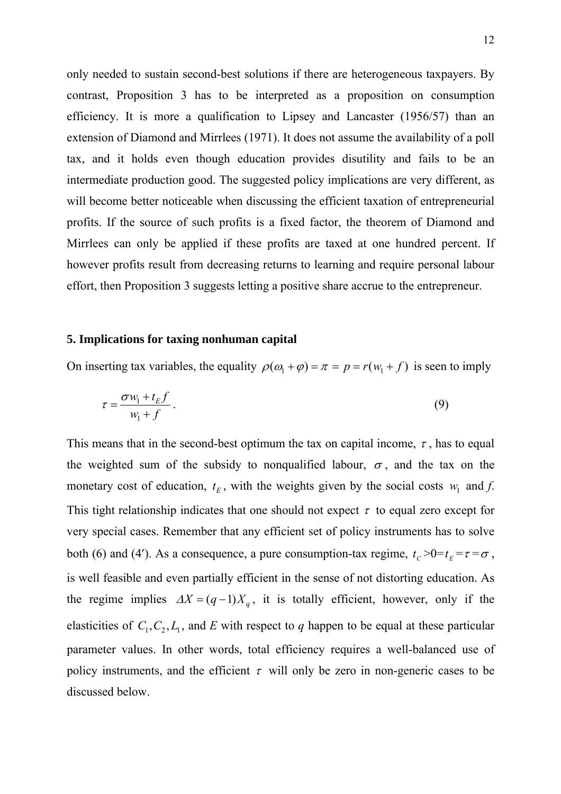only needed to sustain second-best solutions if there are heterogeneous taxpayers. By contrast, Proposition 3 has to be interpreted as a proposition on consumption efficiency. It is more a qualification to Lipsey and Lancaster (1956/57) than an extension of Diamond and Mirrlees (1971). It does not assume the availability of a poll tax, and it holds even though education provides disutility and fails to be an intermediate production good. The suggested policy implications are very different, as will become better noticeable when discussing the efficient taxation of entrepreneurial profits. If the source of such profits is a fixed factor, the theorem of Diamond and Mirrlees can only be applied if these profits are taxed at one hundred percent. If however profits result from decreasing returns to learning and require personal labour effort, then Proposition 3 suggests letting a positive share accrue to the entrepreneur.

#### **5. Implications for taxing nonhuman capital**

On inserting tax variables, the equality  $\rho(\omega_1 + \varphi) = \pi = p = r(w_1 + f)$  is seen to imply

$$
\tau = \frac{\sigma w_1 + t_E f}{w_1 + f} \,. \tag{9}
$$

This means that in the second-best optimum the tax on capital income,  $\tau$ , has to equal the weighted sum of the subsidy to nonqualified labour,  $\sigma$ , and the tax on the monetary cost of education,  $t_E$ , with the weights given by the social costs  $w_1$  and *f*. This tight relationship indicates that one should not expect  $\tau$  to equal zero except for very special cases. Remember that any efficient set of policy instruments has to solve both (6) and (4'). As a consequence, a pure consumption-tax regime,  $t_c > 0 = t_E = \tau = \sigma$ , is well feasible and even partially efficient in the sense of not distorting education. As the regime implies  $\Delta X = (q-1)X_q$ , it is totally efficient, however, only if the elasticities of  $C_1, C_2, L_1$ , and *E* with respect to *q* happen to be equal at these particular parameter values. In other words, total efficiency requires a well-balanced use of policy instruments, and the efficient  $\tau$  will only be zero in non-generic cases to be discussed below.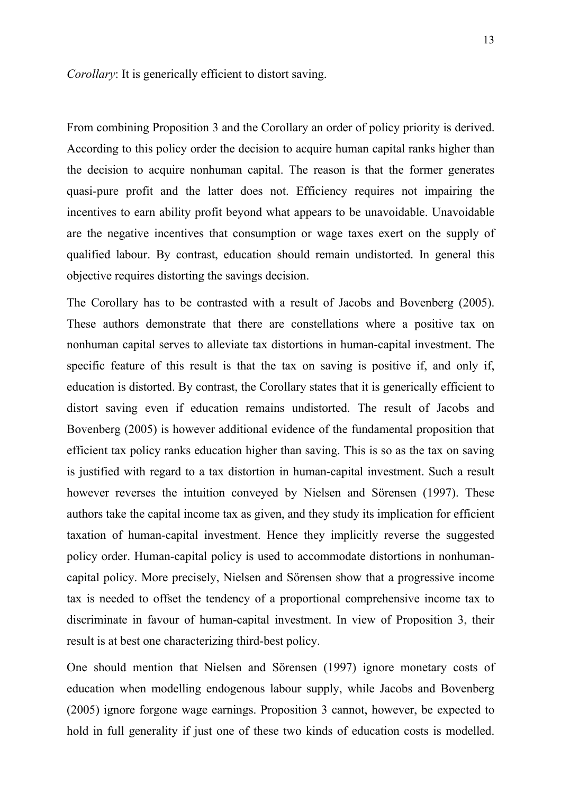*Corollary*: It is generically efficient to distort saving.

From combining Proposition 3 and the Corollary an order of policy priority is derived. According to this policy order the decision to acquire human capital ranks higher than the decision to acquire nonhuman capital. The reason is that the former generates quasi-pure profit and the latter does not. Efficiency requires not impairing the incentives to earn ability profit beyond what appears to be unavoidable. Unavoidable are the negative incentives that consumption or wage taxes exert on the supply of qualified labour. By contrast, education should remain undistorted. In general this objective requires distorting the savings decision.

The Corollary has to be contrasted with a result of Jacobs and Bovenberg (2005). These authors demonstrate that there are constellations where a positive tax on nonhuman capital serves to alleviate tax distortions in human-capital investment. The specific feature of this result is that the tax on saving is positive if, and only if, education is distorted. By contrast, the Corollary states that it is generically efficient to distort saving even if education remains undistorted. The result of Jacobs and Bovenberg (2005) is however additional evidence of the fundamental proposition that efficient tax policy ranks education higher than saving. This is so as the tax on saving is justified with regard to a tax distortion in human-capital investment. Such a result however reverses the intuition conveyed by Nielsen and Sörensen (1997). These authors take the capital income tax as given, and they study its implication for efficient taxation of human-capital investment. Hence they implicitly reverse the suggested policy order. Human-capital policy is used to accommodate distortions in nonhumancapital policy. More precisely, Nielsen and Sörensen show that a progressive income tax is needed to offset the tendency of a proportional comprehensive income tax to discriminate in favour of human-capital investment. In view of Proposition 3, their result is at best one characterizing third-best policy.

One should mention that Nielsen and Sörensen (1997) ignore monetary costs of education when modelling endogenous labour supply, while Jacobs and Bovenberg (2005) ignore forgone wage earnings. Proposition 3 cannot, however, be expected to hold in full generality if just one of these two kinds of education costs is modelled.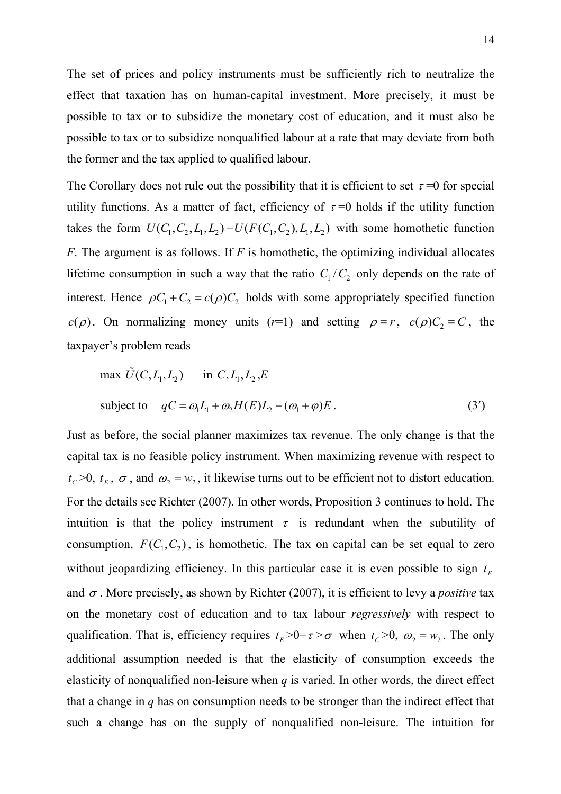The set of prices and policy instruments must be sufficiently rich to neutralize the effect that taxation has on human-capital investment. More precisely, it must be possible to tax or to subsidize the monetary cost of education, and it must also be possible to tax or to subsidize nonqualified labour at a rate that may deviate from both the former and the tax applied to qualified labour.

The Corollary does not rule out the possibility that it is efficient to set  $\tau = 0$  for special utility functions. As a matter of fact, efficiency of  $\tau = 0$  holds if the utility function takes the form  $U(C_1, C_2, L_1, L_2) = U(F(C_1, C_2), L_1, L_2)$  with some homothetic function *F*. The argument is as follows. If *F* is homothetic, the optimizing individual allocates lifetime consumption in such a way that the ratio  $C_1/C_2$  only depends on the rate of interest. Hence  $\rho C_1 + C_2 = c(\rho)C_2$  holds with some appropriately specified function *c*( $\rho$ ). On normalizing money units (*r*=1) and setting  $\rho \equiv r$ , *c*( $\rho$ )C<sub>2</sub>  $\equiv$  *C*, the taxpayer's problem reads

max 
$$
\tilde{U}(C, L_1, L_2)
$$
 in  $C, L_1, L_2, E$   
subject to  $qC = \omega_1 L_1 + \omega_2 H(E)L_2 - (\omega_1 + \varphi)E$ . (3')

Just as before, the social planner maximizes tax revenue. The only change is that the capital tax is no feasible policy instrument. When maximizing revenue with respect to  $t_c$  >0,  $t<sub>E</sub>$ ,  $\sigma$ , and  $\omega_2 = w_2$ , it likewise turns out to be efficient not to distort education. For the details see Richter (2007). In other words, Proposition 3 continues to hold. The intuition is that the policy instrument  $\tau$  is redundant when the subutility of consumption,  $F(C_1, C_2)$ , is homothetic. The tax on capital can be set equal to zero without jeopardizing efficiency. In this particular case it is even possible to sign  $t<sub>E</sub>$ and  $\sigma$ . More precisely, as shown by Richter (2007), it is efficient to levy a *positive* tax on the monetary cost of education and to tax labour *regressively* with respect to qualification. That is, efficiency requires  $t_E > 0 = \tau > \sigma$  when  $t_C > 0$ ,  $\omega_2 = w_2$ . The only additional assumption needed is that the elasticity of consumption exceeds the elasticity of nonqualified non-leisure when *q* is varied. In other words, the direct effect that a change in *q* has on consumption needs to be stronger than the indirect effect that such a change has on the supply of nonqualified non-leisure. The intuition for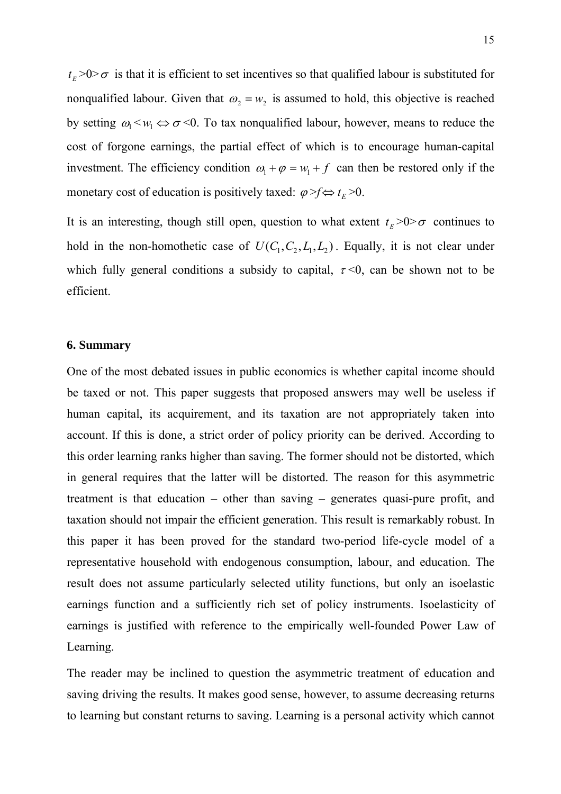$t_{E}$  >0> $\sigma$  is that it is efficient to set incentives so that qualified labour is substituted for nonqualified labour. Given that  $\omega_2 = w_2$  is assumed to hold, this objective is reached by setting  $\omega_1 < \omega_1 \Leftrightarrow \sigma < 0$ . To tax nonqualified labour, however, means to reduce the cost of forgone earnings, the partial effect of which is to encourage human-capital investment. The efficiency condition  $\omega_1 + \varphi = w_1 + f$  can then be restored only if the monetary cost of education is positively taxed:  $\varphi > f \Leftrightarrow t_E > 0$ .

It is an interesting, though still open, question to what extent  $t_E > 0 > \sigma$  continues to hold in the non-homothetic case of  $U(C_1, C_2, L_1, L_2)$ . Equally, it is not clear under which fully general conditions a subsidy to capital,  $\tau \le 0$ , can be shown not to be efficient.

#### **6. Summary**

One of the most debated issues in public economics is whether capital income should be taxed or not. This paper suggests that proposed answers may well be useless if human capital, its acquirement, and its taxation are not appropriately taken into account. If this is done, a strict order of policy priority can be derived. According to this order learning ranks higher than saving. The former should not be distorted, which in general requires that the latter will be distorted. The reason for this asymmetric treatment is that education – other than saving – generates quasi-pure profit, and taxation should not impair the efficient generation. This result is remarkably robust. In this paper it has been proved for the standard two-period life-cycle model of a representative household with endogenous consumption, labour, and education. The result does not assume particularly selected utility functions, but only an isoelastic earnings function and a sufficiently rich set of policy instruments. Isoelasticity of earnings is justified with reference to the empirically well-founded Power Law of Learning.

The reader may be inclined to question the asymmetric treatment of education and saving driving the results. It makes good sense, however, to assume decreasing returns to learning but constant returns to saving. Learning is a personal activity which cannot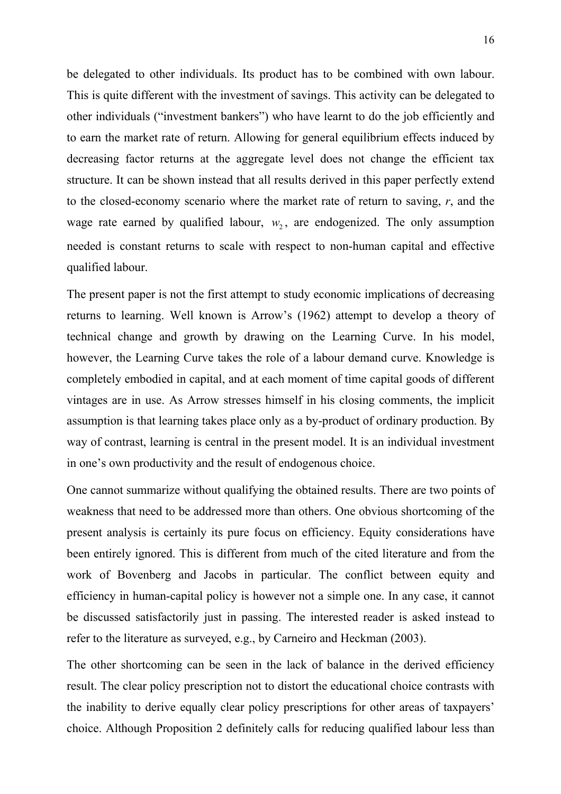be delegated to other individuals. Its product has to be combined with own labour. This is quite different with the investment of savings. This activity can be delegated to other individuals ("investment bankers") who have learnt to do the job efficiently and to earn the market rate of return. Allowing for general equilibrium effects induced by decreasing factor returns at the aggregate level does not change the efficient tax structure. It can be shown instead that all results derived in this paper perfectly extend to the closed-economy scenario where the market rate of return to saving, *r*, and the wage rate earned by qualified labour,  $w_2$ , are endogenized. The only assumption needed is constant returns to scale with respect to non-human capital and effective qualified labour.

The present paper is not the first attempt to study economic implications of decreasing returns to learning. Well known is Arrow's (1962) attempt to develop a theory of technical change and growth by drawing on the Learning Curve. In his model, however, the Learning Curve takes the role of a labour demand curve. Knowledge is completely embodied in capital, and at each moment of time capital goods of different vintages are in use. As Arrow stresses himself in his closing comments, the implicit assumption is that learning takes place only as a by-product of ordinary production. By way of contrast, learning is central in the present model. It is an individual investment in one's own productivity and the result of endogenous choice.

One cannot summarize without qualifying the obtained results. There are two points of weakness that need to be addressed more than others. One obvious shortcoming of the present analysis is certainly its pure focus on efficiency. Equity considerations have been entirely ignored. This is different from much of the cited literature and from the work of Bovenberg and Jacobs in particular. The conflict between equity and efficiency in human-capital policy is however not a simple one. In any case, it cannot be discussed satisfactorily just in passing. The interested reader is asked instead to refer to the literature as surveyed, e.g., by Carneiro and Heckman (2003).

The other shortcoming can be seen in the lack of balance in the derived efficiency result. The clear policy prescription not to distort the educational choice contrasts with the inability to derive equally clear policy prescriptions for other areas of taxpayers' choice. Although Proposition 2 definitely calls for reducing qualified labour less than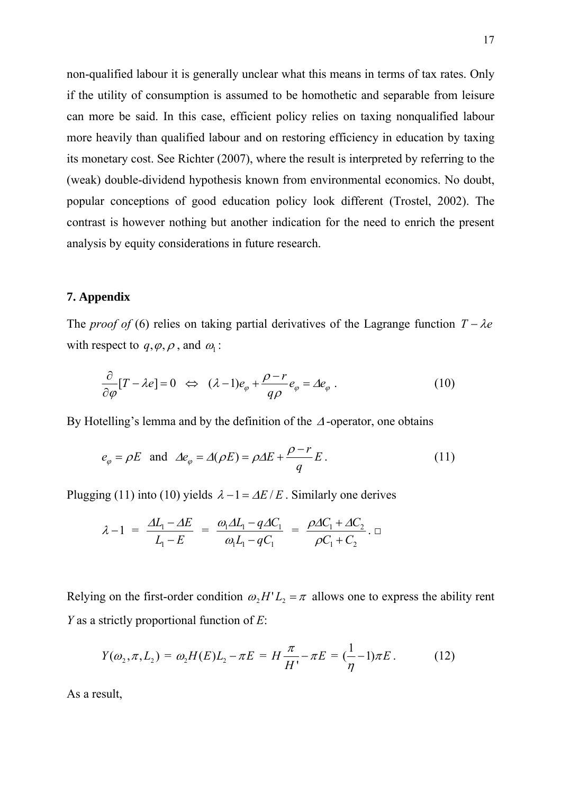non-qualified labour it is generally unclear what this means in terms of tax rates. Only if the utility of consumption is assumed to be homothetic and separable from leisure can more be said. In this case, efficient policy relies on taxing nonqualified labour more heavily than qualified labour and on restoring efficiency in education by taxing its monetary cost. See Richter (2007), where the result is interpreted by referring to the (weak) double-dividend hypothesis known from environmental economics. No doubt, popular conceptions of good education policy look different (Trostel, 2002). The contrast is however nothing but another indication for the need to enrich the present analysis by equity considerations in future research.

#### **7. Appendix**

The *proof of* (6) relies on taking partial derivatives of the Lagrange function  $T - \lambda e$ with respect to  $q, \varphi, \rho$ , and  $\omega_1$ :

$$
\frac{\partial}{\partial \varphi} [T - \lambda e] = 0 \iff (\lambda - 1)e_{\varphi} + \frac{\rho - r}{q\rho} e_{\varphi} = \Delta e_{\varphi} \; . \tag{10}
$$

By Hotelling's lemma and by the definition of the <sup>Δ</sup> -operator, one obtains

$$
e_{\varphi} = \rho E
$$
 and  $\Delta e_{\varphi} = \Delta(\rho E) = \rho \Delta E + \frac{\rho - r}{q} E$ . (11)

Plugging (11) into (10) yields  $\lambda - 1 = \Delta E / E$ . Similarly one derives

$$
\lambda - 1 = \frac{\Delta L_1 - \Delta E}{L_1 - E} = \frac{\omega_1 \Delta L_1 - q \Delta C_1}{\omega_1 L_1 - q C_1} = \frac{\rho \Delta C_1 + \Delta C_2}{\rho C_1 + C_2}.
$$

Relying on the first-order condition  $\omega_1 H^T L_2 = \pi$  allows one to express the ability rent *Y* as a strictly proportional function of *E*:

$$
Y(\omega_2, \pi, L_2) = \omega_2 H(E) L_2 - \pi E = H \frac{\pi}{H'} - \pi E = (\frac{1}{\eta} - 1)\pi E. \tag{12}
$$

As a result,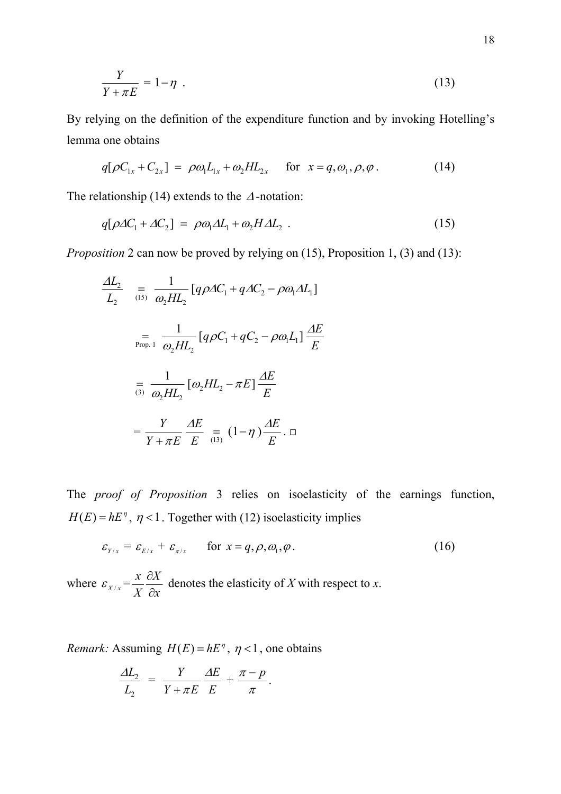$$
\frac{Y}{Y + \pi E} = 1 - \eta \tag{13}
$$

By relying on the definition of the expenditure function and by invoking Hotelling's lemma one obtains

$$
q[\rho C_{1x} + C_{2x}] = \rho \omega_1 L_{1x} + \omega_2 H L_{2x} \quad \text{for } x = q, \omega_1, \rho, \varphi. \tag{14}
$$

The relationship (14) extends to the  $\Delta$ -notation:

$$
q[\rho \Delta C_1 + \Delta C_2] = \rho \omega_1 \Delta L_1 + \omega_2 H \Delta L_2 \tag{15}
$$

*Proposition* 2 can now be proved by relying on (15), Proposition 1, (3) and (13):

$$
\frac{\Delta L_2}{L_2} = \frac{1}{\omega_2 H L_2} [q \rho \Delta C_1 + q \Delta C_2 - \rho \omega_1 \Delta L_1]
$$

$$
= \frac{1}{\omega_2 H L_2} [q \rho C_1 + q C_2 - \rho \omega_1 L_1] \frac{\Delta E}{E}
$$

$$
= \frac{1}{\omega_2 H L_2} [\omega_2 H L_2 - \pi E] \frac{\Delta E}{E}
$$

$$
= \frac{Y}{Y + \pi E} \frac{\Delta E}{E} = (1 - \eta) \frac{\Delta E}{E} . \square
$$

The *proof of Proposition* 3 relies on isoelasticity of the earnings function,  $H(E) = hE^{\eta}$ ,  $\eta$ <1. Together with (12) isoelasticity implies

$$
\varepsilon_{Y/x} = \varepsilon_{E/x} + \varepsilon_{\pi/x} \qquad \text{for } x = q, \rho, \omega_1, \varphi. \tag{16}
$$

where  $\varepsilon_{X/x} = \frac{x}{X} \frac{\partial X}{\partial x}$ *X x* ∂  $\frac{\partial X}{\partial x}$  denotes the elasticity of *X* with respect to *x*.

*Remark:* Assuming  $H(E) = hE^{\eta}$ ,  $\eta < 1$ , one obtains

$$
\frac{\Delta L_2}{L_2} = \frac{Y}{Y + \pi E} \frac{\Delta E}{E} + \frac{\pi - p}{\pi}.
$$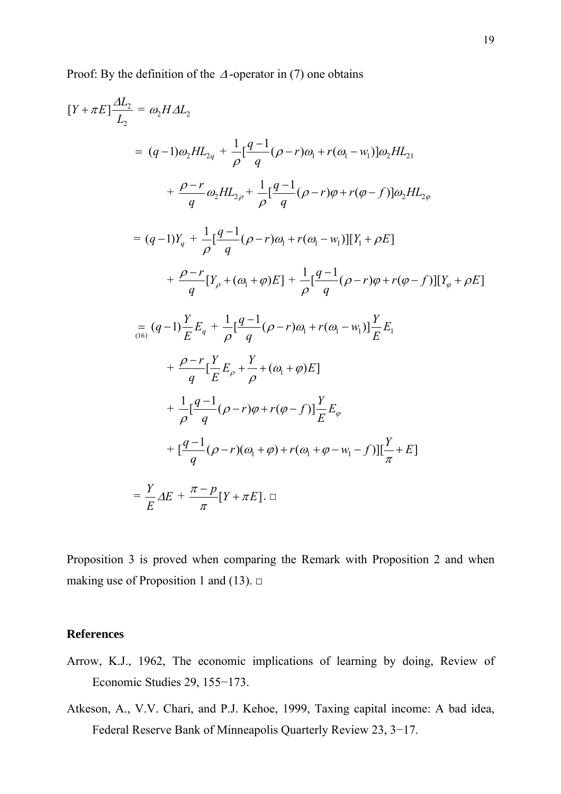Proof: By the definition of the  $\Delta$ -operator in (7) one obtains

$$
[Y + \pi E] \frac{dL_2}{L_2} = \omega_2 H \Delta L_2
$$
  
\n
$$
= (q-1)\omega_2 H L_{2q} + \frac{1}{\rho} [\frac{q-1}{q} (\rho - r)\omega_1 + r(\omega_1 - w_1)] \omega_2 H L_{21}
$$
  
\n
$$
+ \frac{\rho - r}{q} \omega_2 H L_{2\rho} + \frac{1}{\rho} [\frac{q-1}{q} (\rho - r)\varphi + r(\varphi - f)] \omega_2 H L_{2\varphi}
$$
  
\n
$$
= (q-1)Y_q + \frac{1}{\rho} [\frac{q-1}{q} (\rho - r)\omega_1 + r(\omega_1 - w_1)][Y_1 + \rho E]
$$
  
\n
$$
+ \frac{\rho - r}{q} [Y_\rho + (\omega_1 + \varphi)E] + \frac{1}{\rho} [\frac{q-1}{q} (\rho - r)\varphi + r(\varphi - f)][Y_\varphi + \rho E]
$$
  
\n
$$
= \frac{1}{(16)} (q-1) \frac{Y}{E} E_q + \frac{1}{\rho} [\frac{q-1}{q} (\rho - r)\omega_1 + r(\omega_1 - w_1)] \frac{Y}{E} E_1
$$
  
\n
$$
+ \frac{\rho - r}{q} [\frac{Y}{E} E_\rho + \frac{Y}{\rho} + (\omega_1 + \varphi) E]
$$
  
\n
$$
+ \frac{1}{\rho} [\frac{q-1}{q} (\rho - r)\varphi + r(\varphi - f)] \frac{Y}{E} E_\varphi
$$
  
\n
$$
+ [\frac{q-1}{q} (\rho - r)(\omega_1 + \varphi) + r(\omega_1 + \varphi - w_1 - f)][\frac{Y}{\pi} + E]
$$
  
\n
$$
= \frac{Y}{E} \Delta E + \frac{\pi - p}{\pi} [Y + \pi E]. \square
$$

Proposition 3 is proved when comparing the Remark with Proposition 2 and when making use of Proposition 1 and (13).  $\Box$ 

## **References**

- Arrow, K.J., 1962, The economic implications of learning by doing, Review of Economic Studies 29, 155−173.
- Atkeson, A., V.V. Chari, and P.J. Kehoe, 1999, Taxing capital income: A bad idea, Federal Reserve Bank of Minneapolis Quarterly Review 23, 3−17.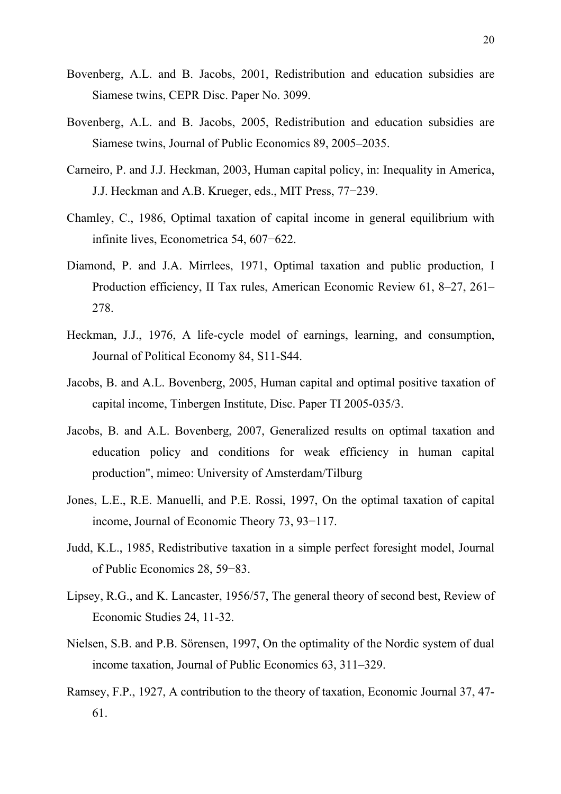- Bovenberg, A.L. and B. Jacobs, 2001, Redistribution and education subsidies are Siamese twins, CEPR Disc. Paper No. 3099.
- Bovenberg, A.L. and B. Jacobs, 2005, Redistribution and education subsidies are Siamese twins, Journal of Public Economics 89, 2005–2035.
- Carneiro, P. and J.J. Heckman, 2003, Human capital policy, in: Inequality in America, J.J. Heckman and A.B. Krueger, eds., MIT Press, 77−239.
- Chamley, C., 1986, Optimal taxation of capital income in general equilibrium with infinite lives, Econometrica 54, 607−622.
- Diamond, P. and J.A. Mirrlees, 1971, Optimal taxation and public production, I Production efficiency, II Tax rules, American Economic Review 61, 8–27, 261– 278.
- Heckman, J.J., 1976, A life-cycle model of earnings, learning, and consumption, Journal of Political Economy 84, S11-S44.
- Jacobs, B. and A.L. Bovenberg, 2005, Human capital and optimal positive taxation of capital income, Tinbergen Institute, Disc. Paper TI 2005-035/3.
- Jacobs, B. and A.L. Bovenberg, 2007, Generalized results on optimal taxation and education policy and conditions for weak efficiency in human capital production", mimeo: University of Amsterdam/Tilburg
- Jones, L.E., R.E. Manuelli, and P.E. Rossi, 1997, On the optimal taxation of capital income, Journal of Economic Theory 73, 93−117.
- Judd, K.L., 1985, Redistributive taxation in a simple perfect foresight model, Journal of Public Economics 28, 59−83.
- Lipsey, R.G., and K. Lancaster, 1956/57, The general theory of second best, Review of Economic Studies 24, 11-32.
- Nielsen, S.B. and P.B. Sörensen, 1997, On the optimality of the Nordic system of dual income taxation, Journal of Public Economics 63, 311–329.
- Ramsey, F.P., 1927, A contribution to the theory of taxation, Economic Journal 37, 47- 61.